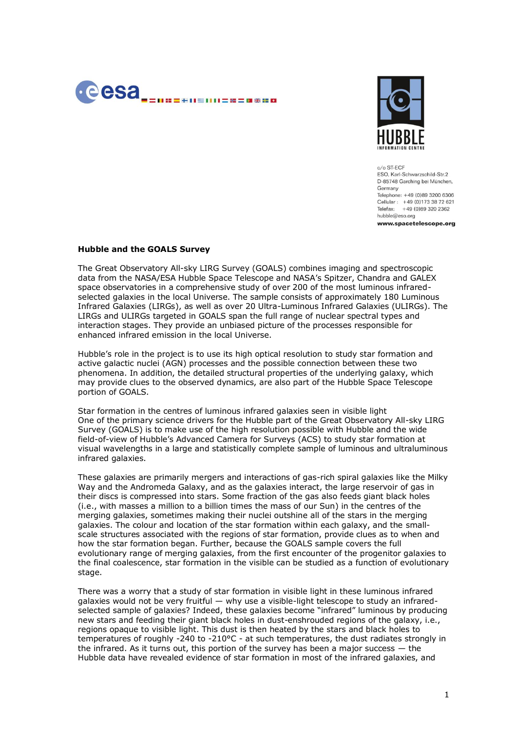



 $c/\alpha$  ST-FCF FSO, Karl-Schwarzschild-Str.2 D-85748 Garching bei München, Germany Telephone: +49 (0)89 3200 6306 Cellular : +49 (0)173 38 72 621 Telefax: +49 (0)89 320 2362 hubble@eso.org

www.spacetelescope.org

## **Hubble and the GOALS Survey**

The Great Observatory All-sky LIRG Survey (GOALS) combines imaging and spectroscopic data from the NASA/ESA Hubble Space Telescope and NASA's Spitzer, Chandra and GALEX space observatories in a comprehensive study of over 200 of the most luminous infraredselected galaxies in the local Universe. The sample consists of approximately 180 Luminous Infrared Galaxies (LIRGs), as well as over 20 Ultra-Luminous Infrared Galaxies (ULIRGs). The LIRGs and ULIRGs targeted in GOALS span the full range of nuclear spectral types and interaction stages. They provide an unbiased picture of the processes responsible for enhanced infrared emission in the local Universe.

Hubble's role in the project is to use its high optical resolution to study star formation and active galactic nuclei (AGN) processes and the possible connection between these two phenomena. In addition, the detailed structural properties of the underlying galaxy, which may provide clues to the observed dynamics, are also part of the Hubble Space Telescope portion of GOALS.

Star formation in the centres of luminous infrared galaxies seen in visible light One of the primary science drivers for the Hubble part of the Great Observatory All-sky LIRG Survey (GOALS) is to make use of the high resolution possible with Hubble and the wide field-of-view of Hubble's Advanced Camera for Surveys (ACS) to study star formation at visual wavelengths in a large and statistically complete sample of luminous and ultraluminous infrared galaxies.

These galaxies are primarily mergers and interactions of gas-rich spiral galaxies like the Milky Way and the Andromeda Galaxy, and as the galaxies interact, the large reservoir of gas in their discs is compressed into stars. Some fraction of the gas also feeds giant black holes (i.e., with masses a million to a billion times the mass of our Sun) in the centres of the merging galaxies, sometimes making their nuclei outshine all of the stars in the merging galaxies. The colour and location of the star formation within each galaxy, and the smallscale structures associated with the regions of star formation, provide clues as to when and how the star formation began. Further, because the GOALS sample covers the full evolutionary range of merging galaxies, from the first encounter of the progenitor galaxies to the final coalescence, star formation in the visible can be studied as a function of evolutionary stage.

There was a worry that a study of star formation in visible light in these luminous infrared galaxies would not be very fruitful — why use a visible-light telescope to study an infraredselected sample of galaxies? Indeed, these galaxies become "infrared" luminous by producing new stars and feeding their giant black holes in dust-enshrouded regions of the galaxy, i.e., regions opaque to visible light. This dust is then heated by the stars and black holes to temperatures of roughly -240 to -210°C - at such temperatures, the dust radiates strongly in the infrared. As it turns out, this portion of the survey has been a major success  $-$  the Hubble data have revealed evidence of star formation in most of the infrared galaxies, and